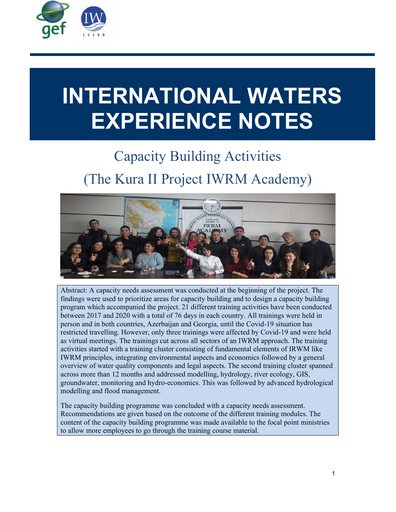

# **INTERNATIONAL WATERS EXPERIENCE NOTES**

# Capacity Building Activities (The Kura II Project IWRM Academy)



Abstract: A capacity needs assessment was conducted at the beginning of the project. The findings were used to prioritize areas for capacity building and to design a capacity building program which accompanied the project. 21 different training activities have been conducted between 2017 and 2020 with a total of 76 days in each country. All trainings were held in person and in both countries, Azerbaijan and Georgia, until the Covid-19 situation has restricted travelling. However, only three trainings were affected by Covid-19 and were held as virtual meetings. The trainings cut across all sectors of an IWRM approach. The training activities started with a training cluster consisting of fundamental elements of IRWM like IWRM principles, integrating environmental aspects and economics followed by a general overview of water quality components and legal aspects. The second training cluster spanned across more than 12 months and addressed modelling, hydrology, river ecology, GIS, groundwater, monitoring and hydro-economics. This was followed by advanced hydrological modelling and flood management.

The capacity building programme was concluded with a capacity needs assessment. Recommendations are given based on the outcome of the different training modules. The content of the capacity building programme was made available to the focal point ministries to allow more employees to go through the training course material.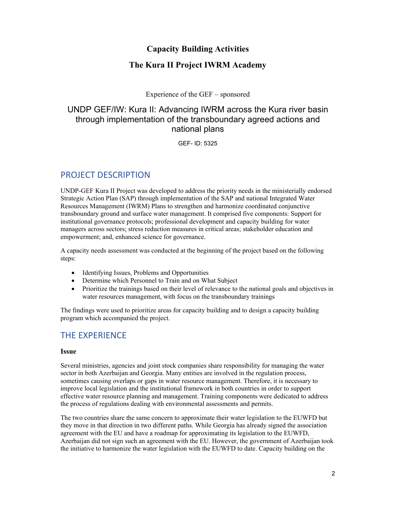#### **Capacity Building Activities**

#### **The Kura II Project IWRM Academy**

Experience of the GEF – sponsored

## UNDP GEF/IW: Kura II: Advancing IWRM across the Kura river basin through implementation of the transboundary agreed actions and national plans

GEF- ID: 5325

# PROJECT DESCRIPTION

UNDP-GEF Kura II Project was developed to address the priority needs in the ministerially endorsed Strategic Action Plan (SAP) through implementation of the SAP and national Integrated Water Resources Management (IWRM) Plans to strengthen and harmonize coordinated conjunctive transboundary ground and surface water management. It comprised five components: Support for institutional governance protocols; professional development and capacity building for water managers across sectors; stress reduction measures in critical areas; stakeholder education and empowerment; and, enhanced science for governance.

A capacity needs assessment was conducted at the beginning of the project based on the following steps:

- Identifying Issues, Problems and Opportunities
- Determine which Personnel to Train and on What Subject
- Prioritize the trainings based on their level of relevance to the national goals and objectives in water resources management, with focus on the transboundary trainings

The findings were used to prioritize areas for capacity building and to design a capacity building program which accompanied the project.

# THE EXPERIENCE

#### **Issue**

Several ministries, agencies and joint stock companies share responsibility for managing the water sector in both Azerbaijan and Georgia. Many entities are involved in the regulation process, sometimes causing overlaps or gaps in water resource management. Therefore, it is necessary to improve local legislation and the institutional framework in both countries in order to support effective water resource planning and management. Training components were dedicated to address the process of regulations dealing with environmental assessments and permits.

The two countries share the same concern to approximate their water legislation to the EUWFD but they move in that direction in two different paths. While Georgia has already signed the association agreement with the EU and have a roadmap for approximating its legislation to the EUWFD, Azerbaijan did not sign such an agreement with the EU. However, the government of Azerbaijan took the initiative to harmonize the water legislation with the EUWFD to date. Capacity building on the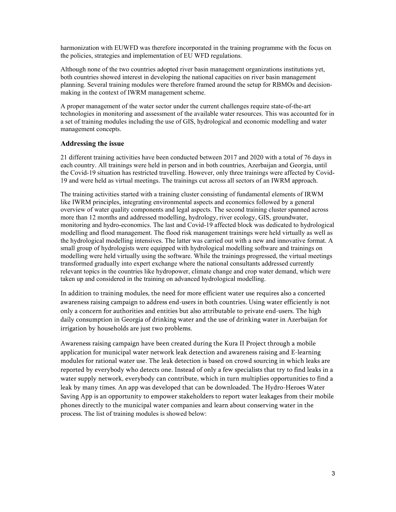harmonization with EUWFD was therefore incorporated in the training programme with the focus on the policies, strategies and implementation of EU WFD regulations.

Although none of the two countries adopted river basin management organizations institutions yet, both countries showed interest in developing the national capacities on river basin management planning. Several training modules were therefore framed around the setup for RBMOs and decisionmaking in the context of IWRM management scheme.

A proper management of the water sector under the current challenges require state-of-the-art technologies in monitoring and assessment of the available water resources. This was accounted for in a set of training modules including the use of GIS, hydrological and economic modelling and water management concepts.

#### **Addressing the issue**

21 different training activities have been conducted between 2017 and 2020 with a total of 76 days in each country. All trainings were held in person and in both countries, Azerbaijan and Georgia, until the Covid-19 situation has restricted travelling. However, only three trainings were affected by Covid-19 and were held as virtual meetings. The trainings cut across all sectors of an IWRM approach.

The training activities started with a training cluster consisting of fundamental elements of IRWM like IWRM principles, integrating environmental aspects and economics followed by a general overview of water quality components and legal aspects. The second training cluster spanned across more than 12 months and addressed modelling, hydrology, river ecology, GIS, groundwater, monitoring and hydro-economics. The last and Covid-19 affected block was dedicated to hydrological modelling and flood management. The flood risk management trainings were held virtually as well as the hydrological modelling intensives. The latter was carried out with a new and innovative format. A small group of hydrologists were equipped with hydrological modelling software and trainings on modelling were held virtually using the software. While the trainings progressed, the virtual meetings transformed gradually into expert exchange where the national consultants addressed currently relevant topics in the countries like hydropower, climate change and crop water demand, which were taken up and considered in the training on advanced hydrological modelling.

In addition to training modules, the need for more efficient water use requires also a concerted awareness raising campaign to address end-users in both countries. Using water efficiently is not only a concern for authorities and entities but also attributable to private end-users. The high daily consumption in Georgia of drinking water and the use of drinking water in Azerbaijan for irrigation by households are just two problems.

Awareness raising campaign have been created during the Kura II Project through a mobile application for municipal water network leak detection and awareness raising and E-learning modules for rational water use. The leak detection is based on crowd sourcing in which leaks are reported by everybody who detects one. Instead of only a few specialists that try to find leaks in a water supply network, everybody can contribute, which in turn multiplies opportunities to find a leak by many times. An app was developed that can be downloaded. The Hydro-Heroes Water Saving App is an opportunity to empower stakeholders to report water leakages from their mobile phones directly to the municipal water companies and learn about conserving water in the process. The list of training modules is showed below: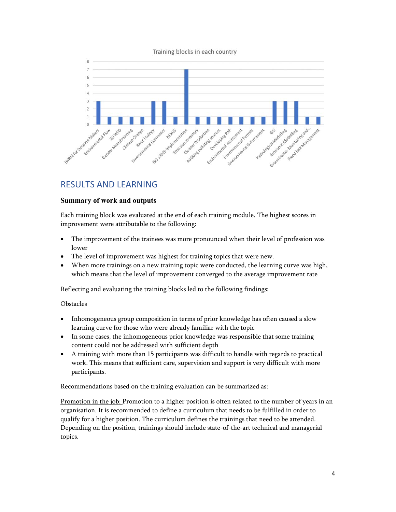



# RESULTS AND LEARNING

#### **Summary of work and outputs**

Each training block was evaluated at the end of each training module. The highest scores in improvement were attributable to the following:

- The improvement of the trainees was more pronounced when their level of profession was lower
- The level of improvement was highest for training topics that were new.
- When more trainings on a new training topic were conducted, the learning curve was high, which means that the level of improvement converged to the average improvement rate

Reflecting and evaluating the training blocks led to the following findings:

#### **Obstacles**

- Inhomogeneous group composition in terms of prior knowledge has often caused a slow learning curve for those who were already familiar with the topic
- In some cases, the inhomogeneous prior knowledge was responsible that some training content could not be addressed with sufficient depth
- A training with more than 15 participants was difficult to handle with regards to practical work. This means that sufficient care, supervision and support is very difficult with more participants.

Recommendations based on the training evaluation can be summarized as:

Promotion in the job: Promotion to a higher position is often related to the number of years in an organisation. It is recommended to define a curriculum that needs to be fulfilled in order to qualify for a higher position. The curriculum defines the trainings that need to be attended. Depending on the position, trainings should include state-of-the-art technical and managerial topics.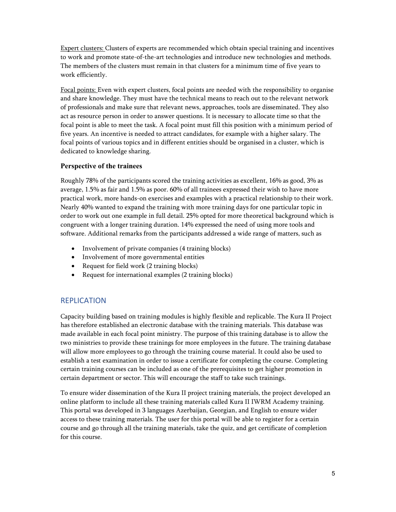Expert clusters: Clusters of experts are recommended which obtain special training and incentives to work and promote state-of-the-art technologies and introduce new technologies and methods. The members of the clusters must remain in that clusters for a minimum time of five years to work efficiently.

Focal points: Even with expert clusters, focal points are needed with the responsibility to organise and share knowledge. They must have the technical means to reach out to the relevant network of professionals and make sure that relevant news, approaches, tools are disseminated. They also act as resource person in order to answer questions. It is necessary to allocate time so that the focal point is able to meet the task. A focal point must fill this position with a minimum period of five years. An incentive is needed to attract candidates, for example with a higher salary. The focal points of various topics and in different entities should be organised in a cluster, which is dedicated to knowledge sharing.

#### **Perspective of the trainees**

Roughly 78% of the participants scored the training activities as excellent, 16% as good, 3% as average, 1.5% as fair and 1.5% as poor. 60% of all trainees expressed their wish to have more practical work, more hands-on exercises and examples with a practical relationship to their work. Nearly 40% wanted to expand the training with more training days for one particular topic in order to work out one example in full detail. 25% opted for more theoretical background which is congruent with a longer training duration. 14% expressed the need of using more tools and software. Additional remarks from the participants addressed a wide range of matters, such as

- Involvement of private companies (4 training blocks)
- Involvement of more governmental entities
- Request for field work (2 training blocks)
- Request for international examples (2 training blocks)

#### REPLICATION

Capacity building based on training modules is highly flexible and replicable. The Kura II Project has therefore established an electronic database with the training materials. This database was made available in each focal point ministry. The purpose of this training database is to allow the two ministries to provide these trainings for more employees in the future. The training database will allow more employees to go through the training course material. It could also be used to establish a test examination in order to issue a certificate for completing the course. Completing certain training courses can be included as one of the prerequisites to get higher promotion in certain department or sector. This will encourage the staff to take such trainings.

To ensure wider dissemination of the Kura II project training materials, the project developed an online platform to include all these training materials called Kura II IWRM Academy training. This portal was developed in 3 languages Azerbaijan, Georgian, and English to ensure wider access to these training materials. The user for this portal will be able to register for a certain course and go through all the training materials, take the quiz, and get certificate of completion for this course.